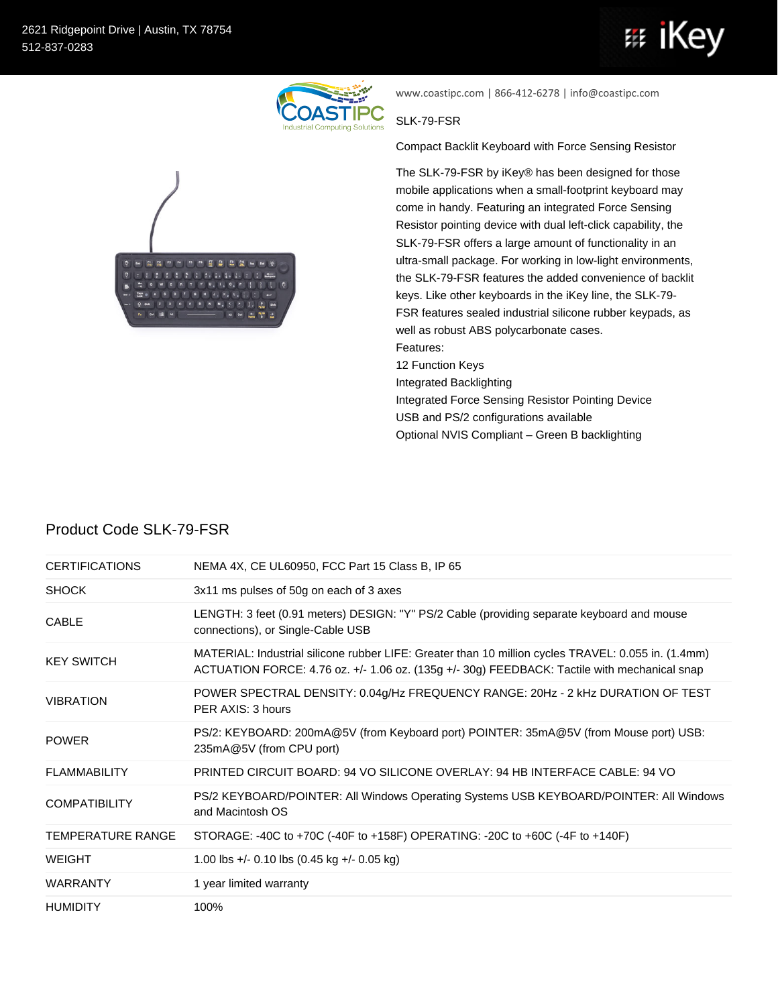

www.coastipc.com | 866-412-6278 | info@coastipc.com

## SLK-79-FSR

Compact Backlit Keyboard with Force Sensing Resistor

The SLK-79-FSR by iKey® has been designed for those mobile applications when a small-footprint keyboard may come in handy. Featuring an integrated Force Sensing Resistor pointing device with dual left-click capability, the SLK-79-FSR offers a large amount of functionality in an ultra-small package. For working in low-light environments, the SLK-79-FSR features the added convenience of backlit keys. Like other keyboards in the iKey line, the SLK-79- FSR features sealed industrial silicone rubber keypads, as well as robust ABS polycarbonate cases. Features: 12 Function Keys

Integrated Backlighting

Integrated Force Sensing Resistor Pointing Device

USB and PS/2 configurations available

Optional NVIS Compliant – Green B backlighting

| <b>CERTIFICATIONS</b>    | NEMA 4X, CE UL60950, FCC Part 15 Class B, IP 65                                                                                                                                                     |
|--------------------------|-----------------------------------------------------------------------------------------------------------------------------------------------------------------------------------------------------|
| <b>SHOCK</b>             | 3x11 ms pulses of 50g on each of 3 axes                                                                                                                                                             |
| <b>CABLE</b>             | LENGTH: 3 feet (0.91 meters) DESIGN: "Y" PS/2 Cable (providing separate keyboard and mouse<br>connections), or Single-Cable USB                                                                     |
| <b>KEY SWITCH</b>        | MATERIAL: Industrial silicone rubber LIFE: Greater than 10 million cycles TRAVEL: 0.055 in. (1.4mm)<br>ACTUATION FORCE: 4.76 oz. +/- 1.06 oz. (135g +/- 30g) FEEDBACK: Tactile with mechanical snap |
| <b>VIBRATION</b>         | POWER SPECTRAL DENSITY: 0.04g/Hz FREQUENCY RANGE: 20Hz - 2 kHz DURATION OF TEST<br>PER AXIS: 3 hours                                                                                                |
| <b>POWER</b>             | PS/2: KEYBOARD: 200mA@5V (from Keyboard port) POINTER: 35mA@5V (from Mouse port) USB:<br>235mA@5V (from CPU port)                                                                                   |
| <b>FLAMMABILITY</b>      | PRINTED CIRCUIT BOARD: 94 VO SILICONE OVERLAY: 94 HB INTERFACE CABLE: 94 VO                                                                                                                         |
| <b>COMPATIBILITY</b>     | PS/2 KEYBOARD/POINTER: All Windows Operating Systems USB KEYBOARD/POINTER: All Windows<br>and Macintosh OS                                                                                          |
| <b>TEMPERATURE RANGE</b> | STORAGE: -40C to +70C (-40F to +158F) OPERATING: -20C to +60C (-4F to +140F)                                                                                                                        |
| <b>WEIGHT</b>            | 1.00 lbs +/- 0.10 lbs $(0.45 \text{ kg} +$ /- 0.05 kg)                                                                                                                                              |
| <b>WARRANTY</b>          | 1 year limited warranty                                                                                                                                                                             |
| <b>HUMIDITY</b>          | 100%                                                                                                                                                                                                |

## Product Code SLK-79-FSR